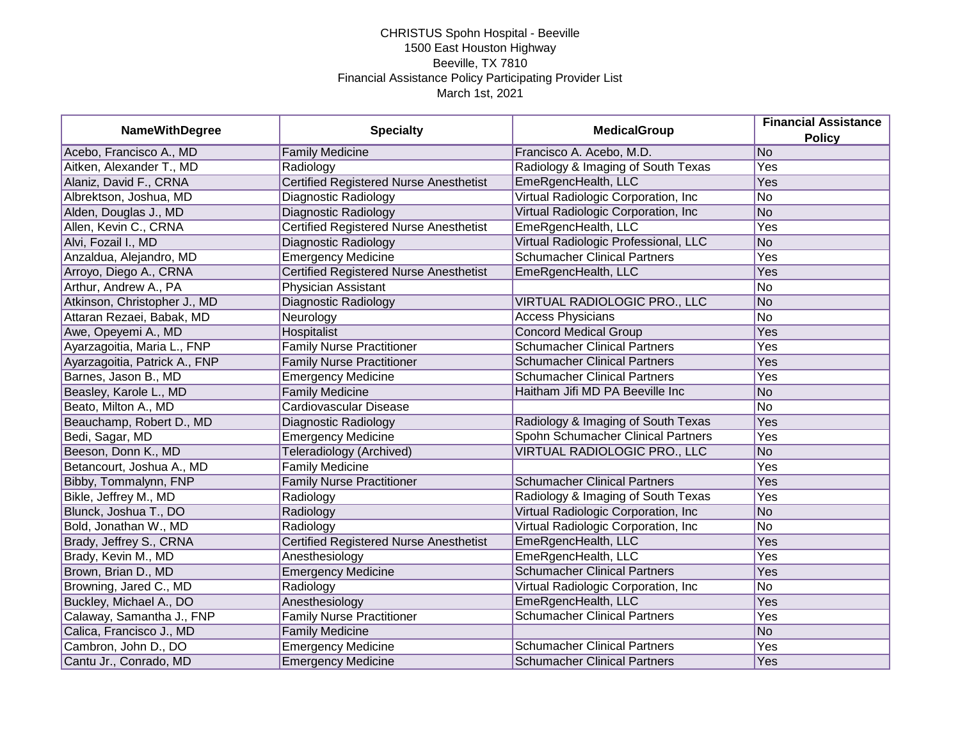| <b>NameWithDegree</b>         | <b>Specialty</b>                              | <b>MedicalGroup</b>                  | <b>Financial Assistance</b><br><b>Policy</b> |
|-------------------------------|-----------------------------------------------|--------------------------------------|----------------------------------------------|
| Acebo, Francisco A., MD       | <b>Family Medicine</b>                        | Francisco A. Acebo, M.D.             | No                                           |
| Aitken, Alexander T., MD      | Radiology                                     | Radiology & Imaging of South Texas   | Yes                                          |
| Alaniz, David F., CRNA        | <b>Certified Registered Nurse Anesthetist</b> | EmeRgencHealth, LLC                  | Yes                                          |
| Albrektson, Joshua, MD        | Diagnostic Radiology                          | Virtual Radiologic Corporation, Inc  | No                                           |
| Alden, Douglas J., MD         | Diagnostic Radiology                          | Virtual Radiologic Corporation, Inc  | No                                           |
| Allen, Kevin C., CRNA         | <b>Certified Registered Nurse Anesthetist</b> | EmeRgencHealth, LLC                  | Yes                                          |
| Alvi, Fozail I., MD           | Diagnostic Radiology                          | Virtual Radiologic Professional, LLC | N <sub>o</sub>                               |
| Anzaldua, Alejandro, MD       | <b>Emergency Medicine</b>                     | <b>Schumacher Clinical Partners</b>  | Yes                                          |
| Arroyo, Diego A., CRNA        | <b>Certified Registered Nurse Anesthetist</b> | EmeRgencHealth, LLC                  | Yes                                          |
| Arthur, Andrew A., PA         | Physician Assistant                           |                                      | No                                           |
| Atkinson, Christopher J., MD  | Diagnostic Radiology                          | VIRTUAL RADIOLOGIC PRO., LLC         | No                                           |
| Attaran Rezaei, Babak, MD     | Neurology                                     | <b>Access Physicians</b>             | No                                           |
| Awe, Opeyemi A., MD           | <b>Hospitalist</b>                            | <b>Concord Medical Group</b>         | Yes                                          |
| Ayarzagoitia, Maria L., FNP   | <b>Family Nurse Practitioner</b>              | <b>Schumacher Clinical Partners</b>  | Yes                                          |
| Ayarzagoitia, Patrick A., FNP | <b>Family Nurse Practitioner</b>              | <b>Schumacher Clinical Partners</b>  | Yes                                          |
| Barnes, Jason B., MD          | <b>Emergency Medicine</b>                     | <b>Schumacher Clinical Partners</b>  | Yes                                          |
| Beasley, Karole L., MD        | <b>Family Medicine</b>                        | Haitham Jifi MD PA Beeville Inc      | No                                           |
| Beato, Milton A., MD          | Cardiovascular Disease                        |                                      | No                                           |
| Beauchamp, Robert D., MD      | Diagnostic Radiology                          | Radiology & Imaging of South Texas   | Yes                                          |
| Bedi, Sagar, MD               | Emergency Medicine                            | Spohn Schumacher Clinical Partners   | Yes                                          |
| Beeson, Donn K., MD           | Teleradiology (Archived)                      | VIRTUAL RADIOLOGIC PRO., LLC         | No                                           |
| Betancourt, Joshua A., MD     | <b>Family Medicine</b>                        |                                      | Yes                                          |
| Bibby, Tommalynn, FNP         | <b>Family Nurse Practitioner</b>              | <b>Schumacher Clinical Partners</b>  | Yes                                          |
| Bikle, Jeffrey M., MD         | Radiology                                     | Radiology & Imaging of South Texas   | Yes                                          |
| Blunck, Joshua T., DO         | Radiology                                     | Virtual Radiologic Corporation, Inc. | No                                           |
| Bold, Jonathan W., MD         | Radiology                                     | Virtual Radiologic Corporation, Inc  | No                                           |
| Brady, Jeffrey S., CRNA       | <b>Certified Registered Nurse Anesthetist</b> | EmeRgencHealth, LLC                  | Yes                                          |
| Brady, Kevin M., MD           | Anesthesiology                                | EmeRgencHealth, LLC                  | Yes                                          |
| Brown, Brian D., MD           | <b>Emergency Medicine</b>                     | <b>Schumacher Clinical Partners</b>  | Yes                                          |
| Browning, Jared C., MD        | Radiology                                     | Virtual Radiologic Corporation, Inc. | No                                           |
| Buckley, Michael A., DO       | Anesthesiology                                | EmeRgencHealth, LLC                  | Yes                                          |
| Calaway, Samantha J., FNP     | <b>Family Nurse Practitioner</b>              | <b>Schumacher Clinical Partners</b>  | Yes                                          |
| Calica, Francisco J., MD      | <b>Family Medicine</b>                        |                                      | No                                           |
| Cambron, John D., DO          | <b>Emergency Medicine</b>                     | <b>Schumacher Clinical Partners</b>  | Yes                                          |
| Cantu Jr., Conrado, MD        | <b>Emergency Medicine</b>                     | <b>Schumacher Clinical Partners</b>  | Yes                                          |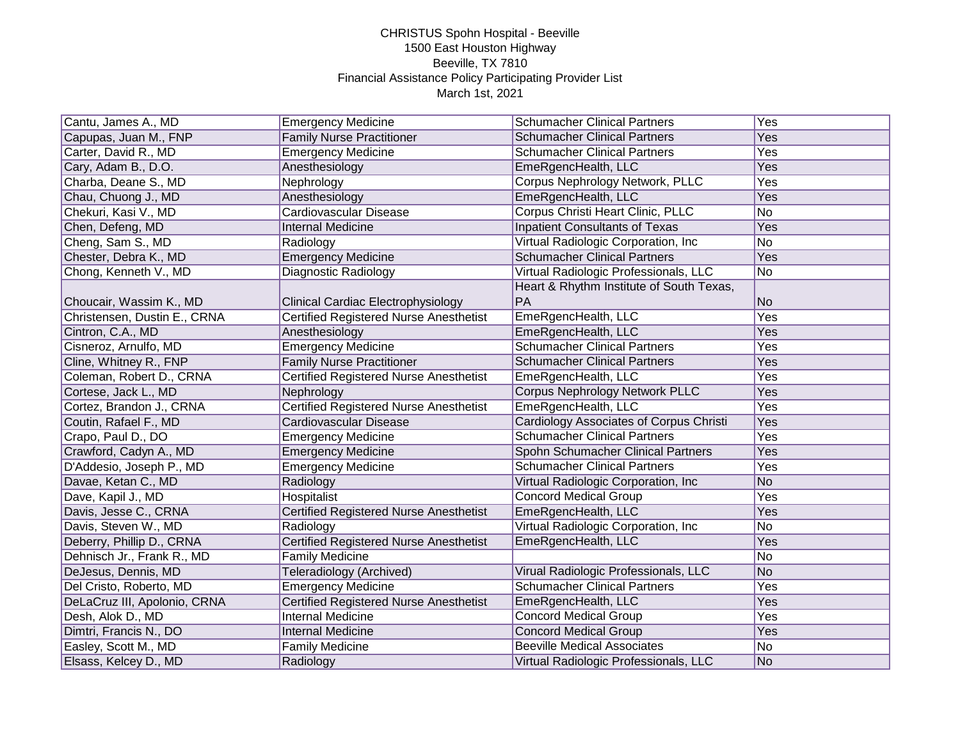| Cantu, James A., MD          | <b>Emergency Medicine</b>                     | <b>Schumacher Clinical Partners</b>      | Yes |
|------------------------------|-----------------------------------------------|------------------------------------------|-----|
| Capupas, Juan M., FNP        | <b>Family Nurse Practitioner</b>              | <b>Schumacher Clinical Partners</b>      | Yes |
| Carter, David R., MD         | <b>Emergency Medicine</b>                     | <b>Schumacher Clinical Partners</b>      | Yes |
| Cary, Adam B., D.O.          | Anesthesiology                                | EmeRgencHealth, LLC                      | Yes |
| Charba, Deane S., MD         | Nephrology                                    | Corpus Nephrology Network, PLLC          | Yes |
| Chau, Chuong J., MD          | Anesthesiology                                | EmeRgencHealth, LLC                      | Yes |
| Chekuri, Kasi V., MD         | Cardiovascular Disease                        | Corpus Christi Heart Clinic, PLLC        | No  |
| Chen, Defeng, MD             | <b>Internal Medicine</b>                      | <b>Inpatient Consultants of Texas</b>    | Yes |
| Cheng, Sam S., MD            | Radiology                                     | Virtual Radiologic Corporation, Inc      | No  |
| Chester, Debra K., MD        | <b>Emergency Medicine</b>                     | <b>Schumacher Clinical Partners</b>      | Yes |
| Chong, Kenneth V., MD        | Diagnostic Radiology                          | Virtual Radiologic Professionals, LLC    | No  |
|                              |                                               | Heart & Rhythm Institute of South Texas, |     |
| Choucair, Wassim K., MD      | Clinical Cardiac Electrophysiology            | PA                                       | No  |
| Christensen, Dustin E., CRNA | <b>Certified Registered Nurse Anesthetist</b> | EmeRgencHealth, LLC                      | Yes |
| Cintron, C.A., MD            | Anesthesiology                                | EmeRgencHealth, LLC                      | Yes |
| Cisneroz, Arnulfo, MD        | <b>Emergency Medicine</b>                     | <b>Schumacher Clinical Partners</b>      | Yes |
| Cline, Whitney R., FNP       | <b>Family Nurse Practitioner</b>              | <b>Schumacher Clinical Partners</b>      | Yes |
| Coleman, Robert D., CRNA     | <b>Certified Registered Nurse Anesthetist</b> | EmeRgencHealth, LLC                      | Yes |
| Cortese, Jack L., MD         | Nephrology                                    | Corpus Nephrology Network PLLC           | Yes |
| Cortez, Brandon J., CRNA     | <b>Certified Registered Nurse Anesthetist</b> | EmeRgencHealth, LLC                      | Yes |
| Coutin, Rafael F., MD        | Cardiovascular Disease                        | Cardiology Associates of Corpus Christi  | Yes |
| Crapo, Paul D., DO           | <b>Emergency Medicine</b>                     | <b>Schumacher Clinical Partners</b>      | Yes |
| Crawford, Cadyn A., MD       | <b>Emergency Medicine</b>                     | Spohn Schumacher Clinical Partners       | Yes |
| D'Addesio, Joseph P., MD     | <b>Emergency Medicine</b>                     | <b>Schumacher Clinical Partners</b>      | Yes |
| Davae, Ketan C., MD          | Radiology                                     | Virtual Radiologic Corporation, Inc      | No  |
| Dave, Kapil J., MD           | Hospitalist                                   | <b>Concord Medical Group</b>             | Yes |
| Davis, Jesse C., CRNA        | <b>Certified Registered Nurse Anesthetist</b> | EmeRgencHealth, LLC                      | Yes |
| Davis, Steven W., MD         | Radiology                                     | Virtual Radiologic Corporation, Inc      | No  |
| Deberry, Phillip D., CRNA    | <b>Certified Registered Nurse Anesthetist</b> | EmeRgencHealth, LLC                      | Yes |
| Dehnisch Jr., Frank R., MD   | <b>Family Medicine</b>                        |                                          | No  |
| DeJesus, Dennis, MD          | Teleradiology (Archived)                      | Virual Radiologic Professionals, LLC     | No  |
| Del Cristo, Roberto, MD      | <b>Emergency Medicine</b>                     | <b>Schumacher Clinical Partners</b>      | Yes |
| DeLaCruz III, Apolonio, CRNA | <b>Certified Registered Nurse Anesthetist</b> | EmeRgencHealth, LLC                      | Yes |
| Desh, Alok D., MD            | <b>Internal Medicine</b>                      | <b>Concord Medical Group</b>             | Yes |
| Dimtri, Francis N., DO       | <b>Internal Medicine</b>                      | <b>Concord Medical Group</b>             | Yes |
| Easley, Scott M., MD         | <b>Family Medicine</b>                        | <b>Beeville Medical Associates</b>       | No  |
| Elsass, Kelcey D., MD        | Radiology                                     | Virtual Radiologic Professionals, LLC    | No  |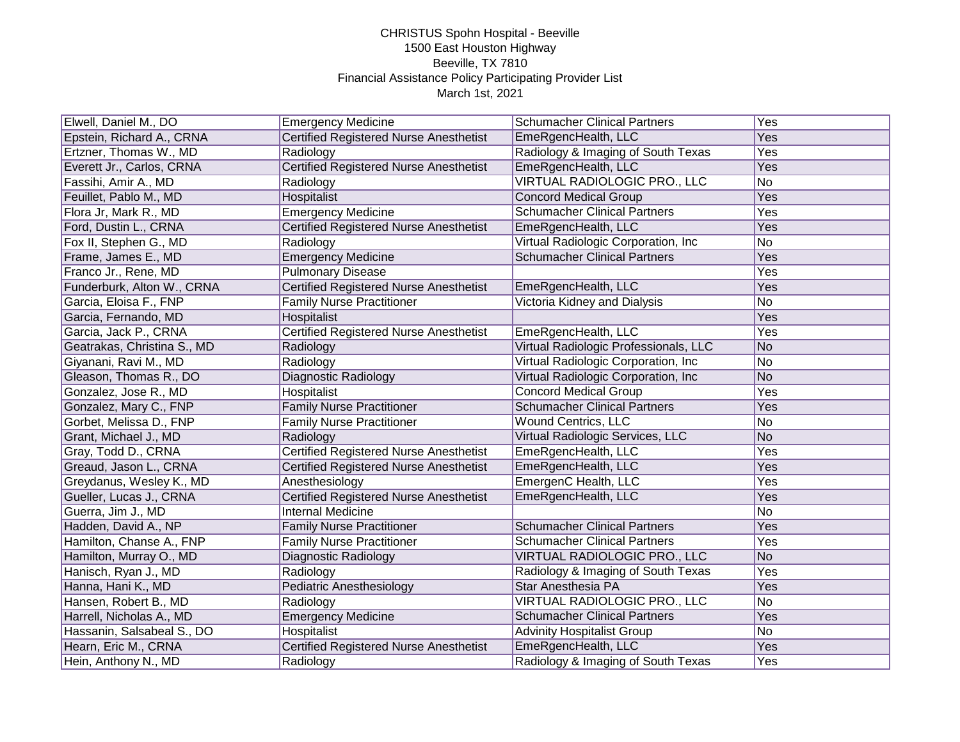| Elwell, Daniel M., DO       | <b>Emergency Medicine</b>                     | <b>Schumacher Clinical Partners</b>   | $\overline{Yes}$        |
|-----------------------------|-----------------------------------------------|---------------------------------------|-------------------------|
| Epstein, Richard A., CRNA   | <b>Certified Registered Nurse Anesthetist</b> | EmeRgencHealth, LLC                   | Yes                     |
| Ertzner, Thomas W., MD      | Radiology                                     | Radiology & Imaging of South Texas    | $\overline{\text{Yes}}$ |
| Everett Jr., Carlos, CRNA   | <b>Certified Registered Nurse Anesthetist</b> | EmeRgencHealth, LLC                   | Yes                     |
| Fassihi, Amir A., MD        | Radiology                                     | VIRTUAL RADIOLOGIC PRO., LLC          | No                      |
| Feuillet, Pablo M., MD      | Hospitalist                                   | <b>Concord Medical Group</b>          | Yes                     |
| Flora Jr, Mark R., MD       | <b>Emergency Medicine</b>                     | <b>Schumacher Clinical Partners</b>   | Yes                     |
| Ford, Dustin L., CRNA       | <b>Certified Registered Nurse Anesthetist</b> | EmeRgencHealth, LLC                   | Yes                     |
| Fox II, Stephen G., MD      | Radiology                                     | Virtual Radiologic Corporation, Inc   | No                      |
| Frame, James E., MD         | <b>Emergency Medicine</b>                     | <b>Schumacher Clinical Partners</b>   | Yes                     |
| Franco Jr., Rene, MD        | <b>Pulmonary Disease</b>                      |                                       | Yes                     |
| Funderburk, Alton W., CRNA  | <b>Certified Registered Nurse Anesthetist</b> | EmeRgencHealth, LLC                   | Yes                     |
| Garcia, Eloisa F., FNP      | <b>Family Nurse Practitioner</b>              | Victoria Kidney and Dialysis          | No                      |
| Garcia, Fernando, MD        | Hospitalist                                   |                                       | Yes                     |
| Garcia, Jack P., CRNA       | <b>Certified Registered Nurse Anesthetist</b> | EmeRgencHealth, LLC                   | Yes                     |
| Geatrakas, Christina S., MD | Radiology                                     | Virtual Radiologic Professionals, LLC | <b>No</b>               |
| Giyanani, Ravi M., MD       | Radiology                                     | Virtual Radiologic Corporation, Inc   | No                      |
| Gleason, Thomas R., DO      | Diagnostic Radiology                          | Virtual Radiologic Corporation, Inc   | No                      |
| Gonzalez, Jose R., MD       | Hospitalist                                   | <b>Concord Medical Group</b>          | Yes                     |
| Gonzalez, Mary C., FNP      | <b>Family Nurse Practitioner</b>              | <b>Schumacher Clinical Partners</b>   | Yes                     |
| Gorbet, Melissa D., FNP     | <b>Family Nurse Practitioner</b>              | Wound Centrics, LLC                   | No                      |
| Grant, Michael J., MD       | Radiology                                     | Virtual Radiologic Services, LLC      | <b>No</b>               |
| Gray, Todd D., CRNA         | <b>Certified Registered Nurse Anesthetist</b> | EmeRgencHealth, LLC                   | Yes                     |
| Greaud, Jason L., CRNA      | <b>Certified Registered Nurse Anesthetist</b> | EmeRgencHealth, LLC                   | Yes                     |
| Greydanus, Wesley K., MD    | Anesthesiology                                | EmergenC Health, LLC                  | Yes                     |
| Gueller, Lucas J., CRNA     | <b>Certified Registered Nurse Anesthetist</b> | EmeRgencHealth, LLC                   | Yes                     |
| Guerra, Jim J., MD          | Internal Medicine                             |                                       | <b>No</b>               |
| Hadden, David A., NP        | <b>Family Nurse Practitioner</b>              | <b>Schumacher Clinical Partners</b>   | Yes                     |
| Hamilton, Chanse A., FNP    | <b>Family Nurse Practitioner</b>              | <b>Schumacher Clinical Partners</b>   | Yes                     |
| Hamilton, Murray O., MD     | Diagnostic Radiology                          | VIRTUAL RADIOLOGIC PRO., LLC          | No                      |
| Hanisch, Ryan J., MD        | Radiology                                     | Radiology & Imaging of South Texas    | $\overline{Yes}$        |
| Hanna, Hani K., MD          | Pediatric Anesthesiology                      | Star Anesthesia PA                    | Yes                     |
| Hansen, Robert B., MD       | Radiology                                     | VIRTUAL RADIOLOGIC PRO., LLC          | <b>No</b>               |
| Harrell, Nicholas A., MD    | <b>Emergency Medicine</b>                     | <b>Schumacher Clinical Partners</b>   | Yes                     |
| Hassanin, Salsabeal S., DO  | Hospitalist                                   | <b>Advinity Hospitalist Group</b>     | No                      |
| Hearn, Eric M., CRNA        | <b>Certified Registered Nurse Anesthetist</b> | EmeRgencHealth, LLC                   | Yes                     |
| Hein, Anthony N., MD        | Radiology                                     | Radiology & Imaging of South Texas    | Yes                     |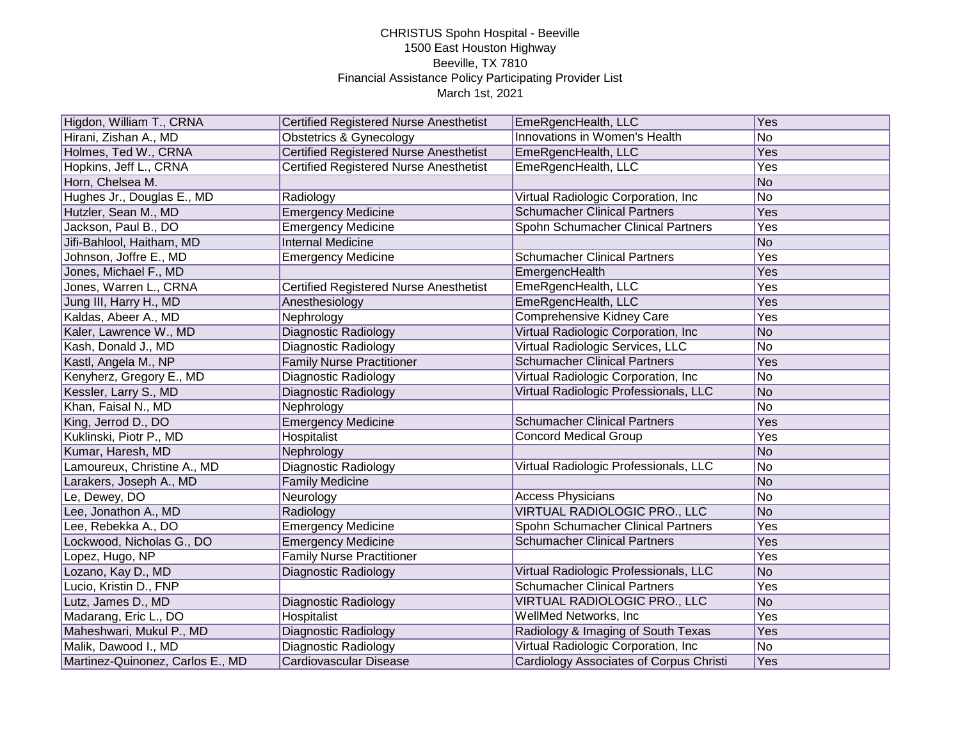| Higdon, William T., CRNA         | <b>Certified Registered Nurse Anesthetist</b> | EmeRgencHealth, LLC                     | Yes            |
|----------------------------------|-----------------------------------------------|-----------------------------------------|----------------|
| Hirani, Zishan A., MD            | Obstetrics & Gynecology                       | Innovations in Women's Health           | No             |
| Holmes, Ted W., CRNA             | <b>Certified Registered Nurse Anesthetist</b> | EmeRgencHealth, LLC                     | Yes            |
| Hopkins, Jeff L., CRNA           | <b>Certified Registered Nurse Anesthetist</b> | EmeRgencHealth, LLC                     | Yes            |
| Horn, Chelsea M.                 |                                               |                                         | No             |
| Hughes Jr., Douglas E., MD       | Radiology                                     | Virtual Radiologic Corporation, Inc     | No             |
| Hutzler, Sean M., MD             | <b>Emergency Medicine</b>                     | <b>Schumacher Clinical Partners</b>     | Yes            |
| Jackson, Paul B., DO             | <b>Emergency Medicine</b>                     | Spohn Schumacher Clinical Partners      | Yes            |
| Jifi-Bahlool, Haitham, MD        | <b>Internal Medicine</b>                      |                                         | No             |
| Johnson, Joffre E., MD           | <b>Emergency Medicine</b>                     | <b>Schumacher Clinical Partners</b>     | Yes            |
| Jones, Michael F., MD            |                                               | EmergencHealth                          | Yes            |
| Jones, Warren L., CRNA           | Certified Registered Nurse Anesthetist        | EmeRgencHealth, LLC                     | Yes            |
| Jung III, Harry H., MD           | Anesthesiology                                | EmeRgencHealth, LLC                     | Yes            |
| Kaldas, Abeer A., MD             | Nephrology                                    | Comprehensive Kidney Care               | Yes            |
| Kaler, Lawrence W., MD           | Diagnostic Radiology                          | Virtual Radiologic Corporation, Inc     | No             |
| Kash, Donald J., MD              | Diagnostic Radiology                          | <b>Virtual Radiologic Services, LLC</b> | No             |
| Kastl, Angela M., NP             | <b>Family Nurse Practitioner</b>              | <b>Schumacher Clinical Partners</b>     | Yes            |
| Kenyherz, Gregory E., MD         | Diagnostic Radiology                          | Virtual Radiologic Corporation, Inc     | No             |
| Kessler, Larry S., MD            | Diagnostic Radiology                          | Virtual Radiologic Professionals, LLC   | No             |
| Khan, Faisal N., MD              | Nephrology                                    |                                         | No             |
| King, Jerrod D., DO              | <b>Emergency Medicine</b>                     | <b>Schumacher Clinical Partners</b>     | Yes            |
| Kuklinski, Piotr P., MD          | Hospitalist                                   | <b>Concord Medical Group</b>            | Yes            |
| Kumar, Haresh, MD                | Nephrology                                    |                                         | No             |
| Lamoureux, Christine A., MD      | Diagnostic Radiology                          | Virtual Radiologic Professionals, LLC   | No             |
| Larakers, Joseph A., MD          | <b>Family Medicine</b>                        |                                         | No             |
| Le, Dewey, DO                    | Neurology                                     | <b>Access Physicians</b>                | No             |
| Lee, Jonathon A., MD             | Radiology                                     | VIRTUAL RADIOLOGIC PRO., LLC            | No             |
| Lee, Rebekka A., DO              | <b>Emergency Medicine</b>                     | Spohn Schumacher Clinical Partners      | Yes            |
| Lockwood, Nicholas G., DO        | <b>Emergency Medicine</b>                     | <b>Schumacher Clinical Partners</b>     | Yes            |
| Lopez, Hugo, NP                  | <b>Family Nurse Practitioner</b>              |                                         | Yes            |
| Lozano, Kay D., MD               | Diagnostic Radiology                          | Virtual Radiologic Professionals, LLC   | N <sub>o</sub> |
| Lucio, Kristin D., FNP           |                                               | <b>Schumacher Clinical Partners</b>     | Yes            |
| Lutz, James D., MD               | Diagnostic Radiology                          | VIRTUAL RADIOLOGIC PRO., LLC            | No             |
| Madarang, Eric L., DO            | Hospitalist                                   | WellMed Networks, Inc                   | Yes            |
| Maheshwari, Mukul P., MD         | Diagnostic Radiology                          | Radiology & Imaging of South Texas      | Yes            |
| Malik, Dawood I., MD             | Diagnostic Radiology                          | Virtual Radiologic Corporation, Inc     | No             |
| Martinez-Quinonez, Carlos E., MD | Cardiovascular Disease                        | Cardiology Associates of Corpus Christi | Yes            |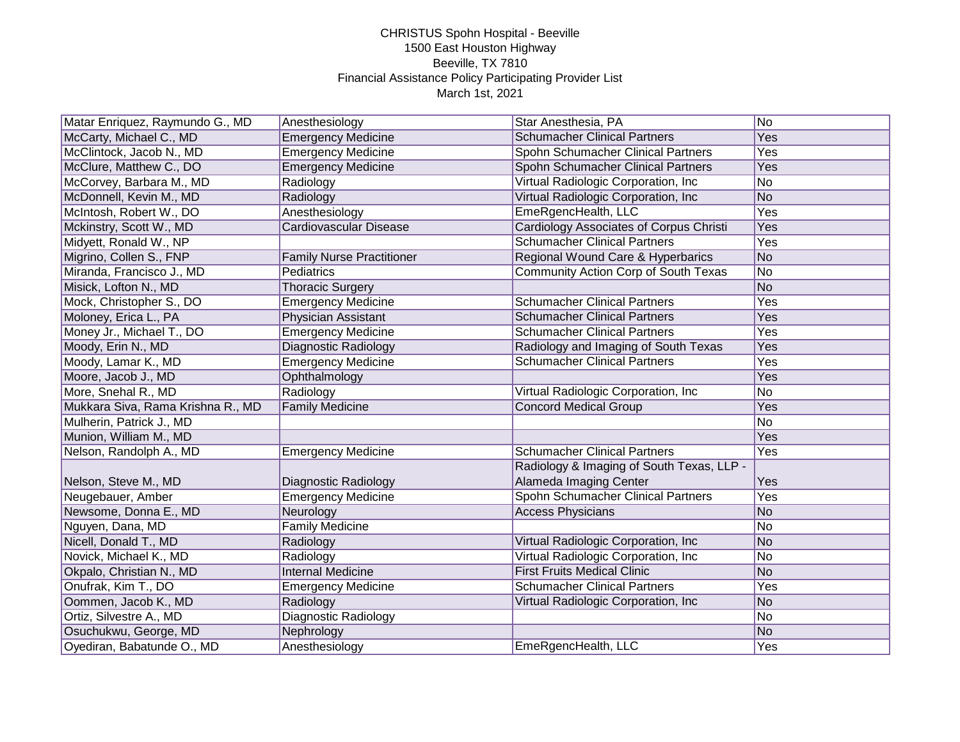| Matar Enriquez, Raymundo G., MD   | Anesthesiology                   | Star Anesthesia, PA                       | $\overline{No}$ |
|-----------------------------------|----------------------------------|-------------------------------------------|-----------------|
| McCarty, Michael C., MD           | <b>Emergency Medicine</b>        | <b>Schumacher Clinical Partners</b>       | Yes             |
| McClintock, Jacob N., MD          | <b>Emergency Medicine</b>        | Spohn Schumacher Clinical Partners        | Yes             |
| McClure, Matthew C., DO           | <b>Emergency Medicine</b>        | Spohn Schumacher Clinical Partners        | Yes             |
| McCorvey, Barbara M., MD          | Radiology                        | Virtual Radiologic Corporation, Inc.      | <b>No</b>       |
| McDonnell, Kevin M., MD           | Radiology                        | Virtual Radiologic Corporation, Inc.      | <b>No</b>       |
| McIntosh, Robert W., DO           | Anesthesiology                   | EmeRgencHealth, LLC                       | Yes             |
| Mckinstry, Scott W., MD           | Cardiovascular Disease           | Cardiology Associates of Corpus Christi   | Yes             |
| Midyett, Ronald W., NP            |                                  | <b>Schumacher Clinical Partners</b>       | Yes             |
| Migrino, Collen S., FNP           | <b>Family Nurse Practitioner</b> | Regional Wound Care & Hyperbarics         | N <sub>o</sub>  |
| Miranda, Francisco J., MD         | Pediatrics                       | Community Action Corp of South Texas      | No              |
| Misick, Lofton N., MD             | <b>Thoracic Surgery</b>          |                                           | <b>No</b>       |
| Mock, Christopher S., DO          | <b>Emergency Medicine</b>        | <b>Schumacher Clinical Partners</b>       | Yes             |
| Moloney, Erica L., PA             | <b>Physician Assistant</b>       | <b>Schumacher Clinical Partners</b>       | Yes             |
| Money Jr., Michael T., DO         | <b>Emergency Medicine</b>        | <b>Schumacher Clinical Partners</b>       | Yes             |
| Moody, Erin N., MD                | Diagnostic Radiology             | Radiology and Imaging of South Texas      | Yes             |
| Moody, Lamar K., MD               | <b>Emergency Medicine</b>        | <b>Schumacher Clinical Partners</b>       | Yes             |
| Moore, Jacob J., MD               | Ophthalmology                    |                                           | Yes             |
| More, Snehal R., MD               | Radiology                        | Virtual Radiologic Corporation, Inc.      | <b>No</b>       |
| Mukkara Siva, Rama Krishna R., MD | <b>Family Medicine</b>           | <b>Concord Medical Group</b>              | Yes             |
| Mulherin, Patrick J., MD          |                                  |                                           | <b>No</b>       |
| Munion, William M., MD            |                                  |                                           | Yes             |
| Nelson, Randolph A., MD           | <b>Emergency Medicine</b>        | <b>Schumacher Clinical Partners</b>       | Yes             |
|                                   |                                  | Radiology & Imaging of South Texas, LLP - |                 |
| Nelson, Steve M., MD              | Diagnostic Radiology             | Alameda Imaging Center                    | Yes             |
| Neugebauer, Amber                 | <b>Emergency Medicine</b>        | Spohn Schumacher Clinical Partners        | Yes             |
| Newsome, Donna E., MD             | Neurology                        | <b>Access Physicians</b>                  | No              |
| Nguyen, Dana, MD                  | <b>Family Medicine</b>           |                                           | $\overline{No}$ |
| Nicell, Donald T., MD             | Radiology                        | Virtual Radiologic Corporation, Inc       | No              |
| Novick, Michael K., MD            | Radiology                        | Virtual Radiologic Corporation, Inc       | No              |
| Okpalo, Christian N., MD          | <b>Internal Medicine</b>         | <b>First Fruits Medical Clinic</b>        | <b>No</b>       |
| Onufrak, Kim T., DO               | <b>Emergency Medicine</b>        | <b>Schumacher Clinical Partners</b>       | Yes             |
| Oommen, Jacob K., MD              | Radiology                        | Virtual Radiologic Corporation, Inc       | No              |
| Ortiz, Silvestre A., MD           | <b>Diagnostic Radiology</b>      |                                           | N <sub>o</sub>  |
| Osuchukwu, George, MD             | Nephrology                       |                                           | <b>No</b>       |
| Oyediran, Babatunde O., MD        | Anesthesiology                   | EmeRgencHealth, LLC                       | Yes             |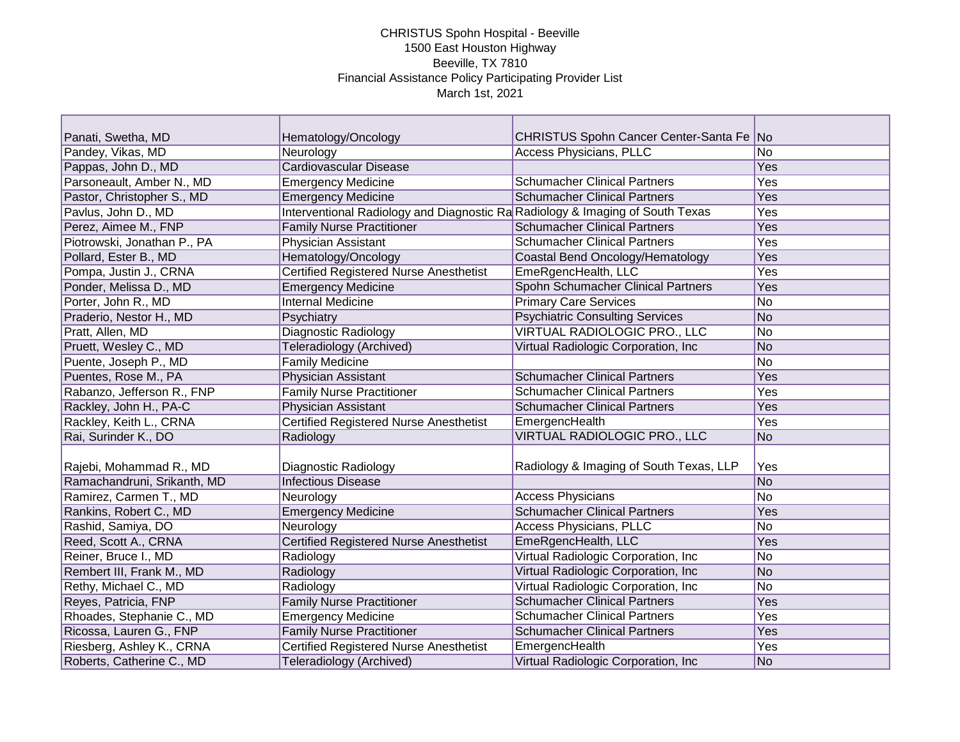| Panati, Swetha, MD          | Hematology/Oncology                                                           | CHRISTUS Spohn Cancer Center-Santa Fe No |     |
|-----------------------------|-------------------------------------------------------------------------------|------------------------------------------|-----|
| Pandey, Vikas, MD           | Neurology                                                                     | Access Physicians, PLLC                  | No. |
| Pappas, John D., MD         | Cardiovascular Disease                                                        |                                          | Yes |
| Parsoneault, Amber N., MD   | <b>Emergency Medicine</b>                                                     | <b>Schumacher Clinical Partners</b>      | Yes |
| Pastor, Christopher S., MD  | <b>Emergency Medicine</b>                                                     | <b>Schumacher Clinical Partners</b>      | Yes |
| Pavlus, John D., MD         | Interventional Radiology and Diagnostic Ra Radiology & Imaging of South Texas |                                          | Yes |
| Perez, Aimee M., FNP        | <b>Family Nurse Practitioner</b>                                              | <b>Schumacher Clinical Partners</b>      | Yes |
| Piotrowski, Jonathan P., PA | <b>Physician Assistant</b>                                                    | <b>Schumacher Clinical Partners</b>      | Yes |
| Pollard, Ester B., MD       | Hematology/Oncology                                                           | Coastal Bend Oncology/Hematology         | Yes |
| Pompa, Justin J., CRNA      | <b>Certified Registered Nurse Anesthetist</b>                                 | EmeRgencHealth, LLC                      | Yes |
| Ponder, Melissa D., MD      | <b>Emergency Medicine</b>                                                     | Spohn Schumacher Clinical Partners       | Yes |
| Porter, John R., MD         | <b>Internal Medicine</b>                                                      | <b>Primary Care Services</b>             | No  |
| Praderio, Nestor H., MD     | Psychiatry                                                                    | <b>Psychiatric Consulting Services</b>   | No  |
| Pratt, Allen, MD            | Diagnostic Radiology                                                          | <b>VIRTUAL RADIOLOGIC PRO., LLC</b>      | No  |
| Pruett, Wesley C., MD       | Teleradiology (Archived)                                                      | Virtual Radiologic Corporation, Inc.     | No  |
| Puente, Joseph P., MD       | <b>Family Medicine</b>                                                        |                                          | No  |
| Puentes, Rose M., PA        | Physician Assistant                                                           | <b>Schumacher Clinical Partners</b>      | Yes |
| Rabanzo, Jefferson R., FNP  | <b>Family Nurse Practitioner</b>                                              | <b>Schumacher Clinical Partners</b>      | Yes |
| Rackley, John H., PA-C      | <b>Physician Assistant</b>                                                    | <b>Schumacher Clinical Partners</b>      | Yes |
| Rackley, Keith L., CRNA     | <b>Certified Registered Nurse Anesthetist</b>                                 | EmergencHealth                           | Yes |
| Rai, Surinder K., DO        | Radiology                                                                     | VIRTUAL RADIOLOGIC PRO., LLC             | No  |
|                             |                                                                               |                                          |     |
| Rajebi, Mohammad R., MD     | Diagnostic Radiology                                                          | Radiology & Imaging of South Texas, LLP  | Yes |
| Ramachandruni, Srikanth, MD | <b>Infectious Disease</b>                                                     |                                          | No  |
| Ramirez, Carmen T., MD      | Neurology                                                                     | <b>Access Physicians</b>                 | No  |
| Rankins, Robert C., MD      | <b>Emergency Medicine</b>                                                     | <b>Schumacher Clinical Partners</b>      | Yes |
| Rashid, Samiya, DO          | Neurology                                                                     | <b>Access Physicians, PLLC</b>           | No  |
| Reed, Scott A., CRNA        | <b>Certified Registered Nurse Anesthetist</b>                                 | EmeRgencHealth, LLC                      | Yes |
| Reiner, Bruce I., MD        | Radiology                                                                     | Virtual Radiologic Corporation, Inc.     | No  |
| Rembert III, Frank M., MD   | Radiology                                                                     | Virtual Radiologic Corporation, Inc      | No  |
| Rethy, Michael C., MD       | Radiology                                                                     | Virtual Radiologic Corporation, Inc      | No  |
| Reyes, Patricia, FNP        | <b>Family Nurse Practitioner</b>                                              | <b>Schumacher Clinical Partners</b>      | Yes |
| Rhoades, Stephanie C., MD   | <b>Emergency Medicine</b>                                                     | <b>Schumacher Clinical Partners</b>      | Yes |
| Ricossa, Lauren G., FNP     | <b>Family Nurse Practitioner</b>                                              | <b>Schumacher Clinical Partners</b>      | Yes |
| Riesberg, Ashley K., CRNA   | <b>Certified Registered Nurse Anesthetist</b>                                 | EmergencHealth                           | Yes |
| Roberts, Catherine C., MD   | Teleradiology (Archived)                                                      | Virtual Radiologic Corporation, Inc.     | No  |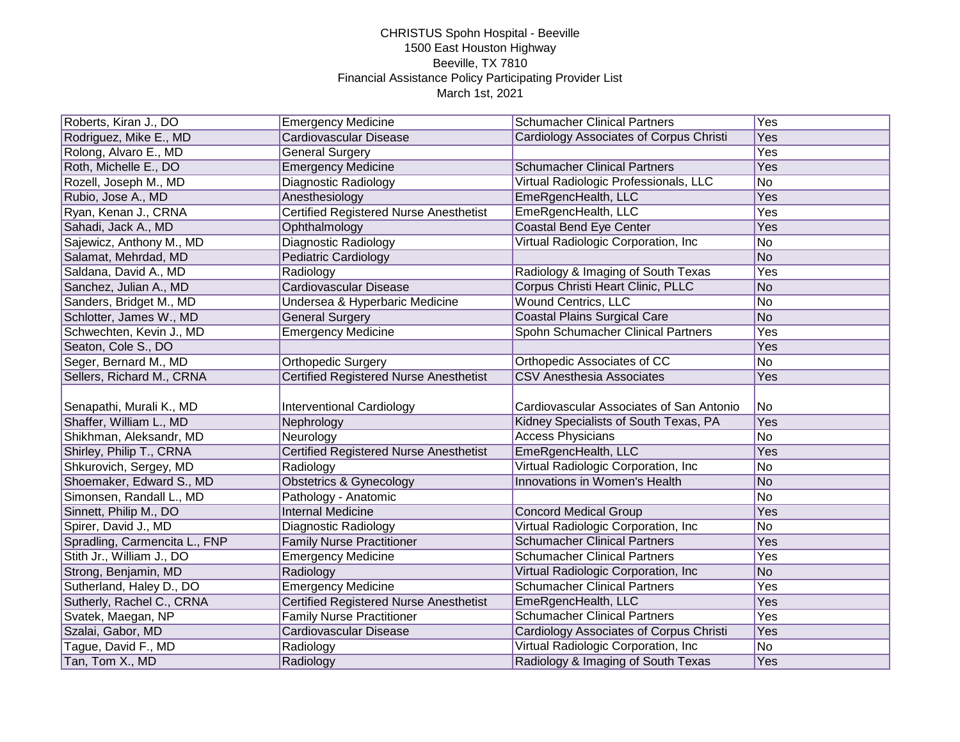| Roberts, Kiran J., DO         | <b>Emergency Medicine</b>                     | <b>Schumacher Clinical Partners</b>      | Yes             |
|-------------------------------|-----------------------------------------------|------------------------------------------|-----------------|
| Rodriguez, Mike E., MD        | Cardiovascular Disease                        | Cardiology Associates of Corpus Christi  | Yes             |
| Rolong, Alvaro E., MD         | <b>General Surgery</b>                        |                                          | Yes             |
| Roth, Michelle E., DO         | <b>Emergency Medicine</b>                     | <b>Schumacher Clinical Partners</b>      | <b>Yes</b>      |
| Rozell, Joseph M., MD         | Diagnostic Radiology                          | Virtual Radiologic Professionals, LLC    | $\overline{No}$ |
| Rubio, Jose A., MD            | Anesthesiology                                | EmeRgencHealth, LLC                      | Yes             |
| Ryan, Kenan J., CRNA          | <b>Certified Registered Nurse Anesthetist</b> | EmeRgencHealth, LLC                      | Yes             |
| Sahadi, Jack A., MD           | Ophthalmology                                 | <b>Coastal Bend Eye Center</b>           | Yes             |
| Sajewicz, Anthony M., MD      | Diagnostic Radiology                          | Virtual Radiologic Corporation, Inc      | No              |
| Salamat, Mehrdad, MD          | <b>Pediatric Cardiology</b>                   |                                          | N <sub>o</sub>  |
| Saldana, David A., MD         | Radiology                                     | Radiology & Imaging of South Texas       | Yes             |
| Sanchez, Julian A., MD        | Cardiovascular Disease                        | Corpus Christi Heart Clinic, PLLC        | <b>No</b>       |
| Sanders, Bridget M., MD       | Undersea & Hyperbaric Medicine                | <b>Wound Centrics, LLC</b>               | <b>No</b>       |
| Schlotter, James W., MD       | <b>General Surgery</b>                        | <b>Coastal Plains Surgical Care</b>      | <b>No</b>       |
| Schwechten, Kevin J., MD      | <b>Emergency Medicine</b>                     | Spohn Schumacher Clinical Partners       | Yes             |
| Seaton, Cole S., DO           |                                               |                                          | Yes             |
| Seger, Bernard M., MD         | <b>Orthopedic Surgery</b>                     | Orthopedic Associates of CC              | <b>No</b>       |
| Sellers, Richard M., CRNA     | <b>Certified Registered Nurse Anesthetist</b> | <b>CSV Anesthesia Associates</b>         | Yes             |
|                               |                                               |                                          |                 |
| Senapathi, Murali K., MD      | <b>Interventional Cardiology</b>              | Cardiovascular Associates of San Antonio | No              |
| Shaffer, William L., MD       | Nephrology                                    | Kidney Specialists of South Texas, PA    | Yes             |
| Shikhman, Aleksandr, MD       | Neurology                                     | <b>Access Physicians</b>                 | <b>No</b>       |
| Shirley, Philip T., CRNA      | <b>Certified Registered Nurse Anesthetist</b> | EmeRgencHealth, LLC                      | Yes             |
| Shkurovich, Sergey, MD        | Radiology                                     | Virtual Radiologic Corporation, Inc      | <b>No</b>       |
| Shoemaker, Edward S., MD      | <b>Obstetrics &amp; Gynecology</b>            | Innovations in Women's Health            | No              |
| Simonsen, Randall L., MD      | Pathology - Anatomic                          |                                          | No              |
| Sinnett, Philip M., DO        | <b>Internal Medicine</b>                      | <b>Concord Medical Group</b>             | Yes             |
| Spirer, David J., MD          | Diagnostic Radiology                          | Virtual Radiologic Corporation, Inc.     | <b>No</b>       |
| Spradling, Carmencita L., FNP | <b>Family Nurse Practitioner</b>              | <b>Schumacher Clinical Partners</b>      | Yes             |
| Stith Jr., William J., DO     | <b>Emergency Medicine</b>                     | <b>Schumacher Clinical Partners</b>      | Yes             |
| Strong, Benjamin, MD          | Radiology                                     | Virtual Radiologic Corporation, Inc      | N <sub>O</sub>  |
| Sutherland, Haley D., DO      | <b>Emergency Medicine</b>                     | <b>Schumacher Clinical Partners</b>      | Yes             |
| Sutherly, Rachel C., CRNA     | <b>Certified Registered Nurse Anesthetist</b> | EmeRgencHealth, LLC                      | Yes             |
| Svatek, Maegan, NP            | <b>Family Nurse Practitioner</b>              | <b>Schumacher Clinical Partners</b>      | Yes             |
| Szalai, Gabor, MD             | Cardiovascular Disease                        | Cardiology Associates of Corpus Christi  | Yes             |
| Tague, David F., MD           | Radiology                                     | Virtual Radiologic Corporation, Inc.     | No              |
| Tan, Tom X., MD               | Radiology                                     | Radiology & Imaging of South Texas       | Yes             |